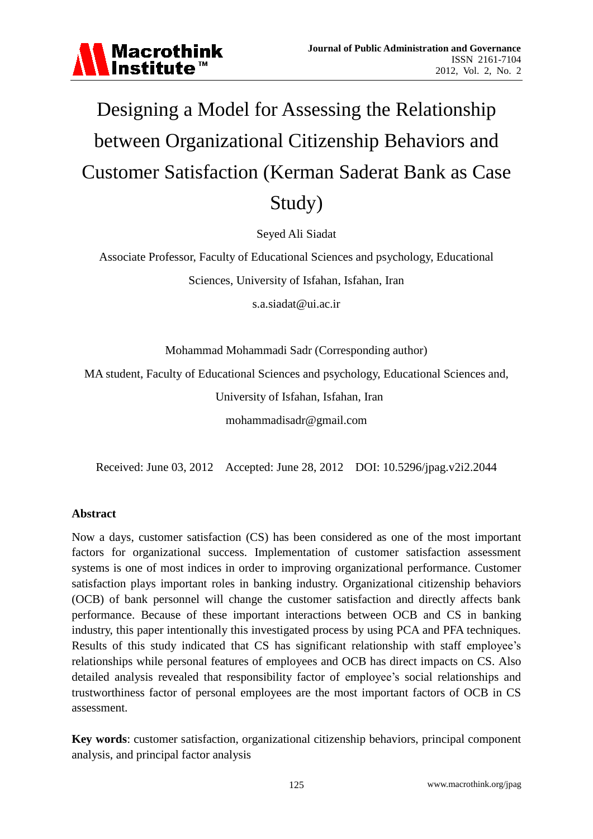

# Designing a Model for Assessing the Relationship between Organizational Citizenship Behaviors and Customer Satisfaction (Kerman Saderat Bank as Case Study)

Seyed Ali Siadat

Associate Professor, Faculty of Educational Sciences and psychology, Educational

Sciences, University of Isfahan, Isfahan, Iran

s.a.siadat@ui.ac.ir

Mohammad Mohammadi Sadr (Corresponding author)

MA student, Faculty of Educational Sciences and psychology, Educational Sciences and,

University of Isfahan, Isfahan, Iran

mohammadisadr@gmail.com

Received: June 03, 2012 Accepted: June 28, 2012 DOI: 10.5296/jpag.v2i2.2044

# **Abstract**

Now a days, customer satisfaction (CS) has been considered as one of the most important factors for organizational success. Implementation of customer satisfaction assessment systems is one of most indices in order to improving organizational performance. Customer satisfaction plays important roles in banking industry. Organizational citizenship behaviors (OCB) of bank personnel will change the customer satisfaction and directly affects bank performance. Because of these important interactions between OCB and CS in banking industry, this paper intentionally this investigated process by using PCA and PFA techniques. Results of this study indicated that CS has significant relationship with staff employee's relationships while personal features of employees and OCB has direct impacts on CS. Also detailed analysis revealed that responsibility factor of employee's social relationships and trustworthiness factor of personal employees are the most important factors of OCB in CS assessment.

**Key words**: customer satisfaction, organizational citizenship behaviors, principal component analysis, and principal factor analysis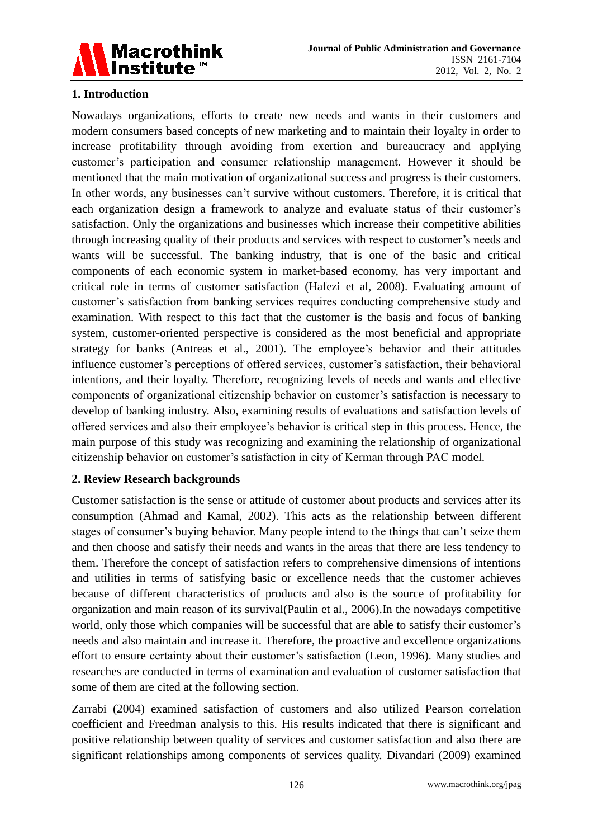

# **1. Introduction**

Nowadays organizations, efforts to create new needs and wants in their customers and modern consumers based concepts of new marketing and to maintain their loyalty in order to increase profitability through avoiding from exertion and bureaucracy and applying customer's participation and consumer relationship management. However it should be mentioned that the main motivation of organizational success and progress is their customers. In other words, any businesses can't survive without customers. Therefore, it is critical that each organization design a framework to analyze and evaluate status of their customer's satisfaction. Only the organizations and businesses which increase their competitive abilities through increasing quality of their products and services with respect to customer's needs and wants will be successful. The banking industry, that is one of the basic and critical components of each economic system in market-based economy, has very important and critical role in terms of customer satisfaction (Hafezi et al, 2008). Evaluating amount of customer's satisfaction from banking services requires conducting comprehensive study and examination. With respect to this fact that the customer is the basis and focus of banking system, customer-oriented perspective is considered as the most beneficial and appropriate strategy for banks (Antreas et al., 2001). The employee's behavior and their attitudes influence customer's perceptions of offered services, customer's satisfaction, their behavioral intentions, and their loyalty. Therefore, recognizing levels of needs and wants and effective components of organizational citizenship behavior on customer's satisfaction is necessary to develop of banking industry. Also, examining results of evaluations and satisfaction levels of offered services and also their employee's behavior is critical step in this process. Hence, the main purpose of this study was recognizing and examining the relationship of organizational citizenship behavior on customer's satisfaction in city of Kerman through PAC model.

# **2. Review Research backgrounds**

Customer satisfaction is the sense or attitude of customer about products and services after its consumption (Ahmad and Kamal, 2002). This acts as the relationship between different stages of consumer's buying behavior. Many people intend to the things that can't seize them and then choose and satisfy their needs and wants in the areas that there are less tendency to them. Therefore the concept of satisfaction refers to comprehensive dimensions of intentions and utilities in terms of satisfying basic or excellence needs that the customer achieves because of different characteristics of products and also is the source of profitability for organization and main reason of its survival(Paulin et al., 2006).In the nowadays competitive world, only those which companies will be successful that are able to satisfy their customer's needs and also maintain and increase it. Therefore, the proactive and excellence organizations effort to ensure certainty about their customer's satisfaction (Leon, 1996). Many studies and researches are conducted in terms of examination and evaluation of customer satisfaction that some of them are cited at the following section.

Zarrabi (2004) examined satisfaction of customers and also utilized Pearson correlation coefficient and Freedman analysis to this. His results indicated that there is significant and positive relationship between quality of services and customer satisfaction and also there are significant relationships among components of services quality. Divandari (2009) examined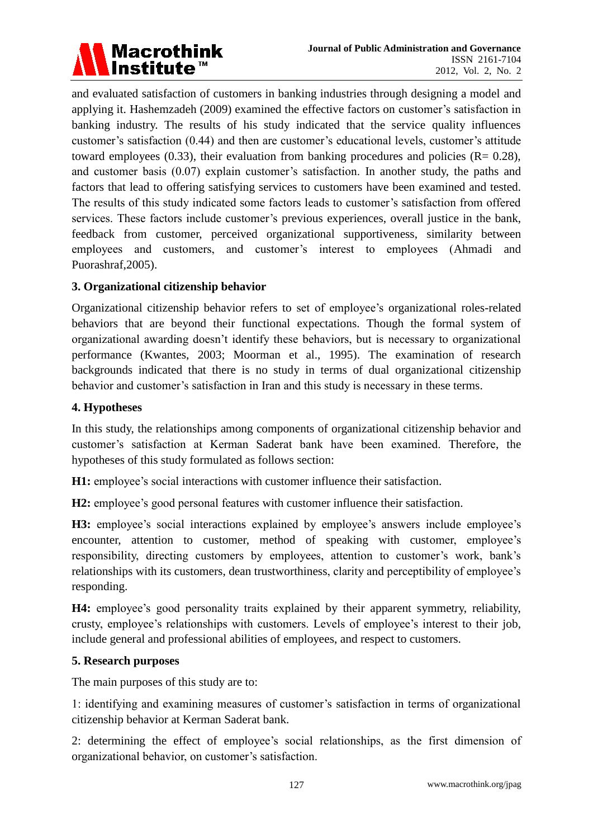

and evaluated satisfaction of customers in banking industries through designing a model and applying it. Hashemzadeh (2009) examined the effective factors on customer's satisfaction in banking industry. The results of his study indicated that the service quality influences customer's satisfaction (0.44) and then are customer's educational levels, customer's attitude toward employees (0.33), their evaluation from banking procedures and policies ( $R = 0.28$ ), and customer basis (0.07) explain customer's satisfaction. In another study, the paths and factors that lead to offering satisfying services to customers have been examined and tested. The results of this study indicated some factors leads to customer's satisfaction from offered services. These factors include customer's previous experiences, overall justice in the bank, feedback from customer, perceived organizational supportiveness, similarity between employees and customers, and customer's interest to employees (Ahmadi and Puorashraf,2005).

#### **3. Organizational citizenship behavior**

Organizational citizenship behavior refers to set of employee's organizational roles-related behaviors that are beyond their functional expectations. Though the formal system of organizational awarding doesn't identify these behaviors, but is necessary to organizational performance (Kwantes, 2003; Moorman et al., 1995). The examination of research backgrounds indicated that there is no study in terms of dual organizational citizenship behavior and customer's satisfaction in Iran and this study is necessary in these terms.

#### **4. Hypotheses**

In this study, the relationships among components of organizational citizenship behavior and customer's satisfaction at Kerman Saderat bank have been examined. Therefore, the hypotheses of this study formulated as follows section:

**H1:** employee's social interactions with customer influence their satisfaction.

**H2:** employee's good personal features with customer influence their satisfaction.

H3: employee's social interactions explained by employee's answers include employee's encounter, attention to customer, method of speaking with customer, employee's responsibility, directing customers by employees, attention to customer's work, bank's relationships with its customers, dean trustworthiness, clarity and perceptibility of employee's responding.

**H4:** employee's good personality traits explained by their apparent symmetry, reliability, crusty, employee's relationships with customers. Levels of employee's interest to their job, include general and professional abilities of employees, and respect to customers.

#### **5. Research purposes**

The main purposes of this study are to:

1: identifying and examining measures of customer's satisfaction in terms of organizational citizenship behavior at Kerman Saderat bank.

2: determining the effect of employee's social relationships, as the first dimension of organizational behavior, on customer's satisfaction.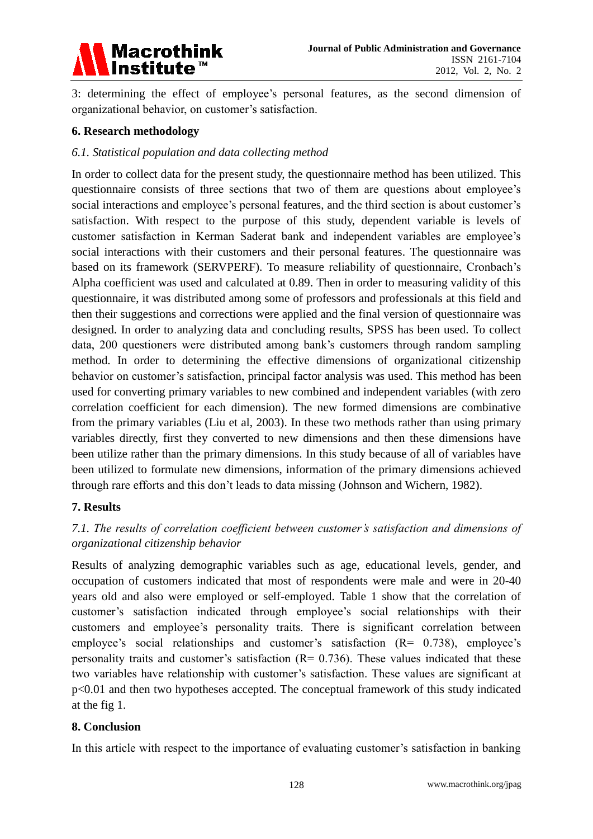

3: determining the effect of employee's personal features, as the second dimension of organizational behavior, on customer's satisfaction.

#### **6. Research methodology**

# *6.1. Statistical population and data collecting method*

In order to collect data for the present study, the questionnaire method has been utilized. This questionnaire consists of three sections that two of them are questions about employee's social interactions and employee's personal features, and the third section is about customer's satisfaction. With respect to the purpose of this study, dependent variable is levels of customer satisfaction in Kerman Saderat bank and independent variables are employee's social interactions with their customers and their personal features. The questionnaire was based on its framework (SERVPERF). To measure reliability of questionnaire, Cronbach's Alpha coefficient was used and calculated at 0.89. Then in order to measuring validity of this questionnaire, it was distributed among some of professors and professionals at this field and then their suggestions and corrections were applied and the final version of questionnaire was designed. In order to analyzing data and concluding results, SPSS has been used. To collect data, 200 questioners were distributed among bank's customers through random sampling method. In order to determining the effective dimensions of organizational citizenship behavior on customer's satisfaction, principal factor analysis was used. This method has been used for converting primary variables to new combined and independent variables (with zero correlation coefficient for each dimension). The new formed dimensions are combinative from the primary variables (Liu et al, 2003). In these two methods rather than using primary variables directly, first they converted to new dimensions and then these dimensions have been utilize rather than the primary dimensions. In this study because of all of variables have been utilized to formulate new dimensions, information of the primary dimensions achieved through rare efforts and this don't leads to data missing (Johnson and Wichern, 1982).

#### **7. Results**

# *7.1. The results of correlation coefficient between customer's satisfaction and dimensions of organizational citizenship behavior*

Results of analyzing demographic variables such as age, educational levels, gender, and occupation of customers indicated that most of respondents were male and were in 20-40 years old and also were employed or self-employed. Table 1 show that the correlation of customer's satisfaction indicated through employee's social relationships with their customers and employee's personality traits. There is significant correlation between employee's social relationships and customer's satisfaction  $(R= 0.738)$ , employee's personality traits and customer's satisfaction  $(R= 0.736)$ . These values indicated that these two variables have relationship with customer's satisfaction. These values are significant at p<0.01 and then two hypotheses accepted. The conceptual framework of this study indicated at the fig 1.

# **8. Conclusion**

In this article with respect to the importance of evaluating customer's satisfaction in banking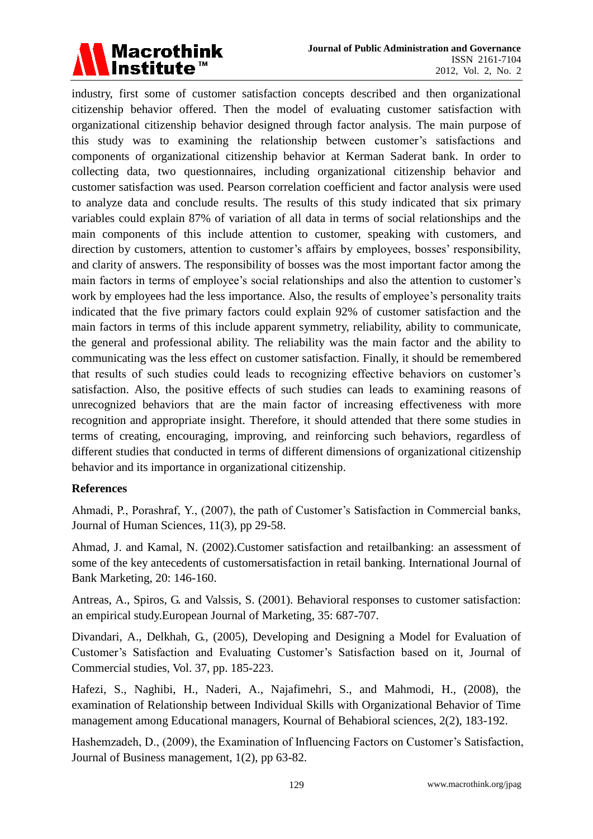

industry, first some of customer satisfaction concepts described and then organizational citizenship behavior offered. Then the model of evaluating customer satisfaction with organizational citizenship behavior designed through factor analysis. The main purpose of this study was to examining the relationship between customer's satisfactions and components of organizational citizenship behavior at Kerman Saderat bank. In order to collecting data, two questionnaires, including organizational citizenship behavior and customer satisfaction was used. Pearson correlation coefficient and factor analysis were used to analyze data and conclude results. The results of this study indicated that six primary variables could explain 87% of variation of all data in terms of social relationships and the main components of this include attention to customer, speaking with customers, and direction by customers, attention to customer's affairs by employees, bosses' responsibility, and clarity of answers. The responsibility of bosses was the most important factor among the main factors in terms of employee's social relationships and also the attention to customer's work by employees had the less importance. Also, the results of employee's personality traits indicated that the five primary factors could explain 92% of customer satisfaction and the main factors in terms of this include apparent symmetry, reliability, ability to communicate, the general and professional ability. The reliability was the main factor and the ability to communicating was the less effect on customer satisfaction. Finally, it should be remembered that results of such studies could leads to recognizing effective behaviors on customer's satisfaction. Also, the positive effects of such studies can leads to examining reasons of unrecognized behaviors that are the main factor of increasing effectiveness with more recognition and appropriate insight. Therefore, it should attended that there some studies in terms of creating, encouraging, improving, and reinforcing such behaviors, regardless of different studies that conducted in terms of different dimensions of organizational citizenship behavior and its importance in organizational citizenship.

# **References**

Ahmadi, P., Porashraf, Y., (2007), the path of Customer's Satisfaction in Commercial banks, Journal of Human Sciences, 11(3), pp 29-58.

Ahmad, J. and Kamal, N. (2002).Customer satisfaction and retailbanking: an assessment of some of the key antecedents of customersatisfaction in retail banking. International Journal of Bank Marketing, 20: 146-160.

Antreas, A., Spiros, G. and Valssis, S. (2001). Behavioral responses to customer satisfaction: an empirical study.European Journal of Marketing, 35: 687-707.

Divandari, A., Delkhah, G., (2005), Developing and Designing a Model for Evaluation of Customer's Satisfaction and Evaluating Customer's Satisfaction based on it, Journal of Commercial studies, Vol. 37, pp. 185-223.

Hafezi, S., Naghibi, H., Naderi, A., Najafimehri, S., and Mahmodi, H., (2008), the examination of Relationship between Individual Skills with Organizational Behavior of Time management among Educational managers, Kournal of Behabioral sciences, 2(2), 183-192.

Hashemzadeh, D., (2009), the Examination of Influencing Factors on Customer's Satisfaction, Journal of Business management, 1(2), pp 63-82.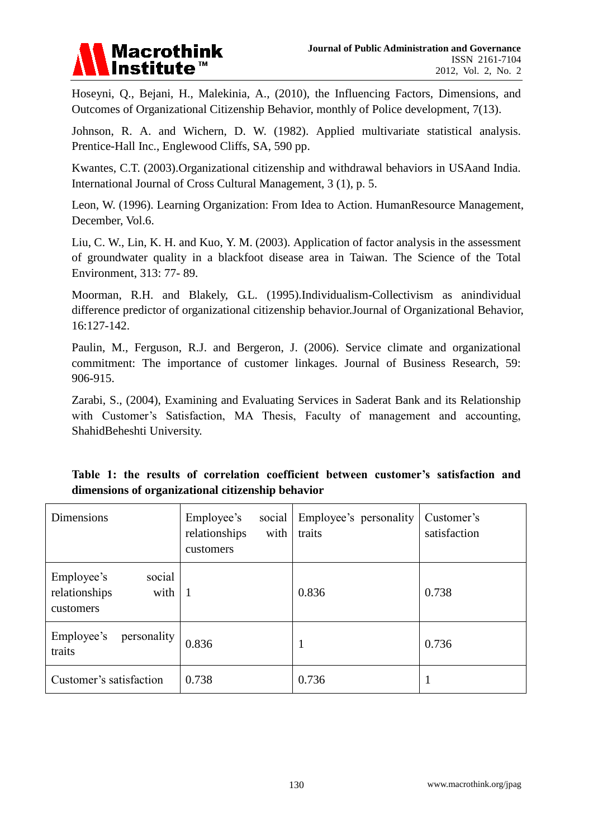

Hoseyni, Q., Bejani, H., Malekinia, A., (2010), the Influencing Factors, Dimensions, and Outcomes of Organizational Citizenship Behavior, monthly of Police development, 7(13).

Johnson, R. A. and Wichern, D. W. (1982). Applied multivariate statistical analysis. Prentice-Hall Inc., Englewood Cliffs, SA, 590 pp.

Kwantes, C.T. (2003).Organizational citizenship and withdrawal behaviors in USAand India. International Journal of Cross Cultural Management, 3 (1), p. 5.

Leon, W. (1996). Learning Organization: From Idea to Action. HumanResource Management, December, Vol.6.

Liu, C. W., Lin, K. H. and Kuo, Y. M. (2003). Application of factor analysis in the assessment of groundwater quality in a blackfoot disease area in Taiwan. The Science of the Total Environment, 313: 77- 89.

Moorman, R.H. and Blakely, G.L. (1995).Individualism-Collectivism as anindividual difference predictor of organizational citizenship behavior.Journal of Organizational Behavior, 16:127-142.

Paulin, M., Ferguson, R.J. and Bergeron, J. (2006). Service climate and organizational commitment: The importance of customer linkages. Journal of Business Research, 59: 906-915.

Zarabi, S., (2004), Examining and Evaluating Services in Saderat Bank and its Relationship with Customer's Satisfaction, MA Thesis, Faculty of management and accounting, ShahidBeheshti University.

|                                                   |  |  |  |  |  |  |  |  | Table 1: the results of correlation coefficient between customer's satisfaction and |  |  |
|---------------------------------------------------|--|--|--|--|--|--|--|--|-------------------------------------------------------------------------------------|--|--|
| dimensions of organizational citizenship behavior |  |  |  |  |  |  |  |  |                                                                                     |  |  |

| Dimensions                                                 | Employee's<br>social<br>relationships<br>with<br>customers | Employee's personality<br>traits | Customer's<br>satisfaction |
|------------------------------------------------------------|------------------------------------------------------------|----------------------------------|----------------------------|
| social<br>Employee's<br>relationships<br>with<br>customers | -1                                                         | 0.836                            | 0.738                      |
| Employee's<br>personality<br>traits                        | 0.836                                                      |                                  | 0.736                      |
| Customer's satisfaction                                    | 0.738                                                      | 0.736                            | 1                          |